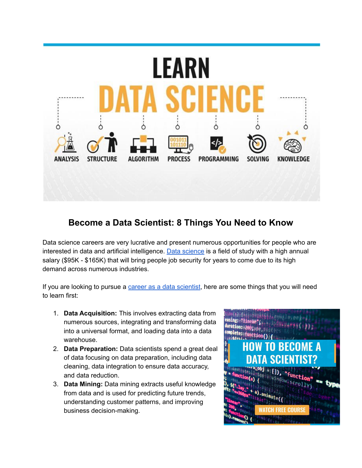

## **Become a Data Scientist: 8 Things You Need to Know**

Data science careers are very lucrative and present numerous opportunities for people who are interested in data and artificial intelligence. Data [science](https://www.intelligentworld.org/course-view/data-science-in-5-minutes?utm_source=EM360&utm_medium=Nwltr&utm_campaign=DtSc&utm_content=bads) is a field of study with a high annual salary (\$95K - \$165K) that will bring people job security for years to come due to its high demand across numerous industries.

If you are looking to pursue a career as a data [scientist](https://cloud.success.intelligentworld.org/courseslp?utm_source=EM360&utm_medium=Nwltr&utm_campaign=DtSc&utm_content=bads), here are some things that you will need to learn first:

- 1. **Data Acquisition:** This involves extracting data from numerous sources, integrating and transforming data into a universal format, and loading data into a data warehouse.
- 2. **Data Preparation:** Data scientists spend a great deal of data focusing on data preparation, including data cleaning, data integration to ensure data accuracy, and data reduction.
- 3. **Data Mining:** Data mining extracts useful knowledge from data and is used for predicting future trends, understanding customer patterns, and improving business decision-making.